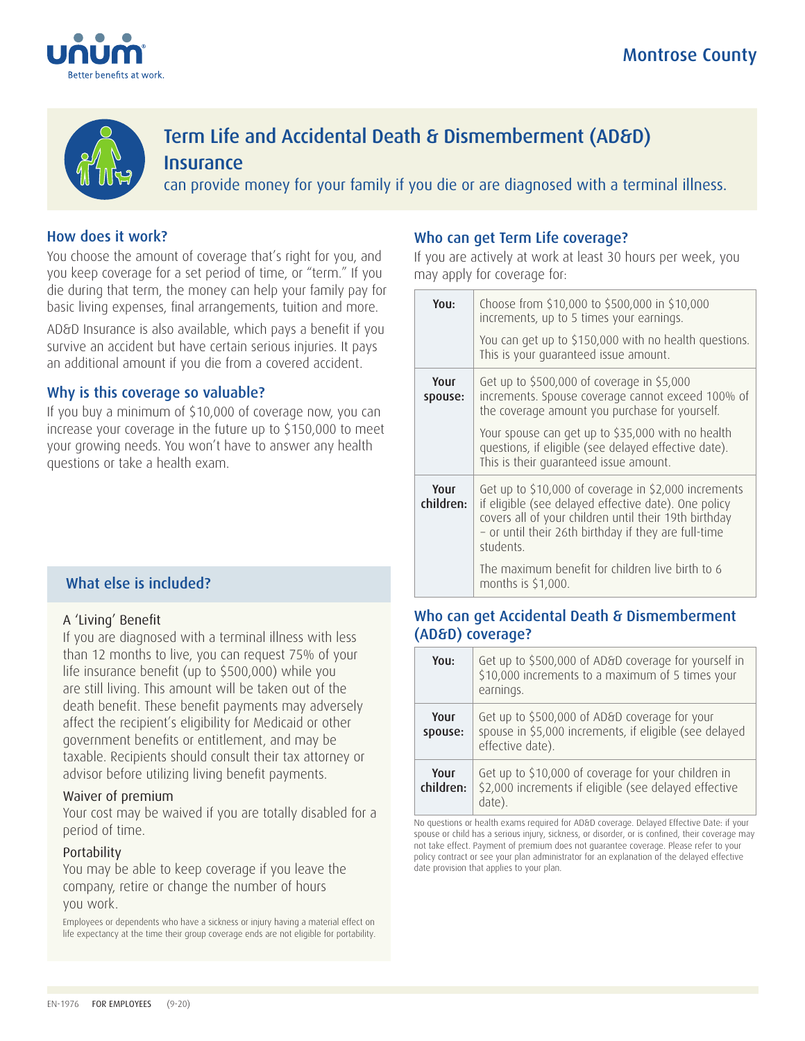



# Term Life and Accidental Death & Dismemberment (AD&D) **Insurance**

can provide money for your family if you die or are diagnosed with a terminal illness.

### How does it work?

You choose the amount of coverage that's right for you, and you keep coverage for a set period of time, or "term." If you die during that term, the money can help your family pay for basic living expenses, final arrangements, tuition and more.

AD&D Insurance is also available, which pays a benefit if you survive an accident but have certain serious injuries. It pays an additional amount if you die from a covered accident.

### Why is this coverage so valuable?

If you buy a minimum of \$10,000 of coverage now, you can increase your coverage in the future up to \$150,000 to meet your growing needs. You won't have to answer any health questions or take a health exam.

### What else is included?

### A 'Living' Benefit

If you are diagnosed with a terminal illness with less than 12 months to live, you can request 75% of your life insurance benefit (up to \$500,000) while you are still living. This amount will be taken out of the death benefit. These benefit payments may adversely affect the recipient's eligibility for Medicaid or other government benefits or entitlement, and may be taxable. Recipients should consult their tax attorney or advisor before utilizing living benefit payments.

### Waiver of premium

Your cost may be waived if you are totally disabled for a period of time.

### Portability

You may be able to keep coverage if you leave the company, retire or change the number of hours you work.

Employees or dependents who have a sickness or injury having a material effect on life expectancy at the time their group coverage ends are not eligible for portability.

### Who can get Term Life coverage?

If you are actively at work at least 30 hours per week, you may apply for coverage for:

| You:              | Choose from \$10,000 to \$500,000 in \$10,000<br>increments, up to 5 times your earnings.                                                                                                                                                  |  |
|-------------------|--------------------------------------------------------------------------------------------------------------------------------------------------------------------------------------------------------------------------------------------|--|
|                   | You can get up to \$150,000 with no health questions.<br>This is your quaranteed issue amount.                                                                                                                                             |  |
| Your<br>spouse:   | Get up to \$500,000 of coverage in \$5,000<br>increments. Spouse coverage cannot exceed 100% of<br>the coverage amount you purchase for yourself.                                                                                          |  |
|                   | Your spouse can get up to \$35,000 with no health<br>questions, if eligible (see delayed effective date).<br>This is their quaranteed issue amount.                                                                                        |  |
| Your<br>children: | Get up to \$10,000 of coverage in \$2,000 increments<br>if eligible (see delayed effective date). One policy<br>covers all of your children until their 19th birthday<br>- or until their 26th birthday if they are full-time<br>students. |  |
|                   | The maximum benefit for children live birth to 6<br>months is \$1,000.                                                                                                                                                                     |  |

### Who can get Accidental Death & Dismemberment (AD&D) coverage?

| You:              | Get up to \$500,000 of AD&D coverage for yourself in<br>\$10,000 increments to a maximum of 5 times your<br>earnings.       |
|-------------------|-----------------------------------------------------------------------------------------------------------------------------|
| Your<br>spouse:   | Get up to \$500,000 of AD&D coverage for your<br>spouse in \$5,000 increments, if eligible (see delayed<br>effective date). |
| Your<br>children: | Get up to \$10,000 of coverage for your children in<br>\$2,000 increments if eligible (see delayed effective<br>date).      |

No questions or health exams required for AD&D coverage. Delayed Effective Date: if your spouse or child has a serious injury, sickness, or disorder, or is confined, their coverage may not take effect. Payment of premium does not guarantee coverage. Please refer to your policy contract or see your plan administrator for an explanation of the delayed effective date provision that applies to your plan.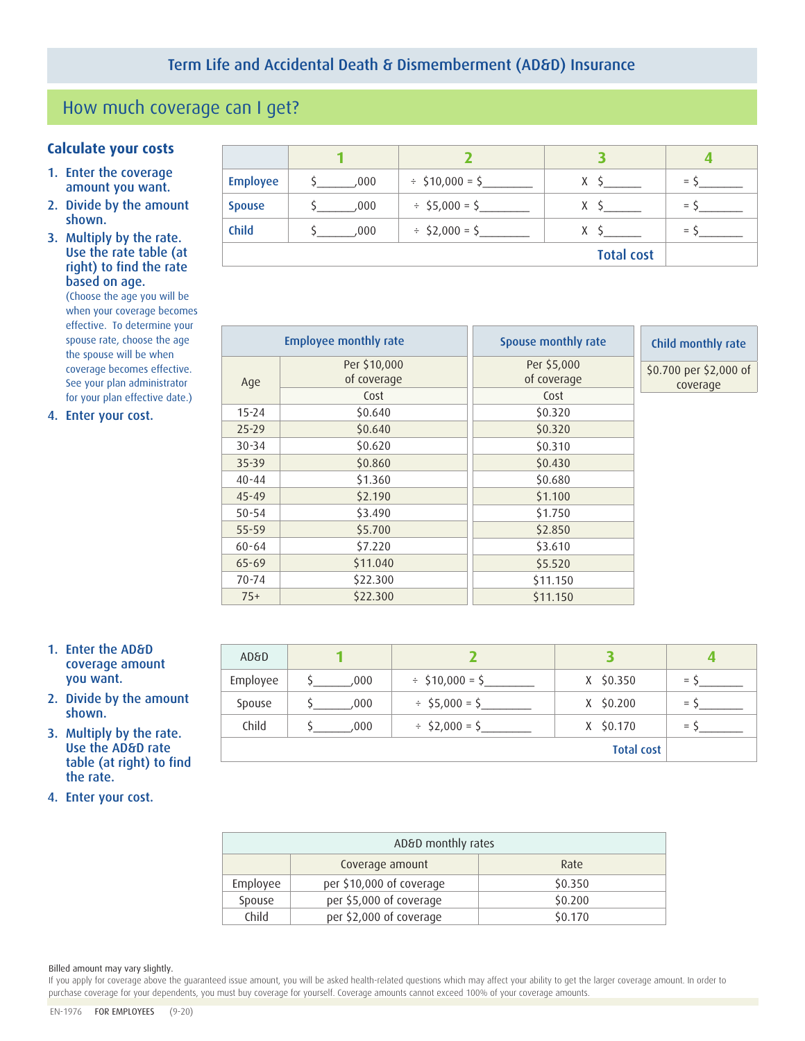# How much coverage can I get?

### **Calculate your costs <sup>1</sup> <sup>2</sup> <sup>3</sup> <sup>4</sup>**

- 1. Enter the coverage amount you want.
- 2. Divide by the amount shown.
- 3. Multiply by the rate. Use the rate table (at right) to find the rate based on age.

(Choose the age you will be when your coverage becomes effective. To determine your spouse rate, choose the age the spouse will be when coverage becomes effective. See your plan administrator for your plan effective date.)

4. Enter your cost.

| <b>Employee</b>   | ,000, | $\div$ \$10,000 = \$ | X | $=$ |
|-------------------|-------|----------------------|---|-----|
| <b>Spouse</b>     | .000  | $\div$ \$5,000 = \$  | х | $=$ |
| <b>Child</b>      | .000  | $\div$ \$2,000 = \$  | X | $=$ |
| <b>Total cost</b> |       |                      |   |     |

|           | <b>Employee monthly rate</b> | Spouse monthly rate        | Child monthly rate                 |
|-----------|------------------------------|----------------------------|------------------------------------|
| Age       | Per \$10,000<br>of coverage  | Per \$5,000<br>of coverage | \$0.700 per \$2,000 of<br>coverage |
|           | Cost                         | Cost                       |                                    |
| $15 - 24$ | \$0.640                      | \$0.320                    |                                    |
| $25 - 29$ | \$0.640                      | \$0.320                    |                                    |
| $30 - 34$ | \$0.620                      | \$0.310                    |                                    |
| $35 - 39$ | \$0.860                      | \$0.430                    |                                    |
| $40 - 44$ | \$1.360                      | \$0.680                    |                                    |
| $45 - 49$ | \$2.190                      | \$1.100                    |                                    |
| $50 - 54$ | \$3.490                      | \$1.750                    |                                    |
| $55 - 59$ | \$5.700                      | \$2.850                    |                                    |
| $60 - 64$ | \$7.220                      | \$3.610                    |                                    |
| $65 - 69$ | \$11.040                     | \$5.520                    |                                    |
| 70-74     | \$22.300                     | \$11.150                   |                                    |
| $75+$     | \$22.300                     | \$11.150                   |                                    |

- 1. Enter the AD&D coverage amount you want.
- 2. Divide by the amount shown.
- 3. Multiply by the rate. Use the AD&D rate table (at right) to find the rate.
- 4. Enter your cost.

| <b>AD&amp;D</b> |      |                      |                   |     |
|-----------------|------|----------------------|-------------------|-----|
| Employee        | .000 | $\div$ \$10,000 = \$ | $X$ \$0.350       | $=$ |
| Spouse          | .000 | $\div$ \$5,000 = \$  | $X$ \$0.200       | $=$ |
| Child           | .000 | $\div$ \$2,000 = \$  | X \$0.170         | $=$ |
|                 |      |                      | <b>Total cost</b> |     |

| AD&D monthly rates      |                          |         |
|-------------------------|--------------------------|---------|
| Coverage amount<br>Rate |                          |         |
| Employee                | per \$10,000 of coverage | \$0.350 |
| Spouse                  | per \$5,000 of coverage  | \$0.200 |
| Child                   | per \$2,000 of coverage  | \$0.170 |

#### Billed amount may vary slightly.

If you apply for coverage above the guaranteed issue amount, you will be asked health-related questions which may affect your ability to get the larger coverage amount. In order to purchase coverage for your dependents, you must buy coverage for yourself. Coverage amounts cannot exceed 100% of your coverage amounts.